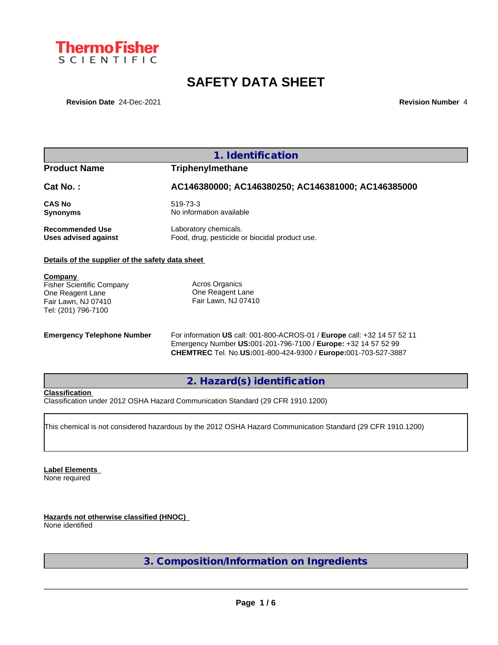

# **SAFETY DATA SHEET**

**Revision Date** 24-Dec-2021 **Revision Number** 4

## **1. Identification**

## **Product Name Triphenylmethane**

## **Cat No. : AC146380000; AC146380250; AC146381000; AC146385000**

**CAS No** 519-73-3

**Synonyms** No information available

**Recommended Use** Laboratory chemicals.<br> **Uses advised against** Food, drug, pesticide of Food, drug, pesticide or biocidal product use.

## **Details of the supplier of the safety data sheet**

**Company** 

Fisher Scientific Company One Reagent Lane Fair Lawn, NJ 07410 Tel: (201) 796-7100

Acros Organics One Reagent Lane Fair Lawn, NJ 07410

**Emergency Telephone Number** For information **US** call: 001-800-ACROS-01 / **Europe** call: +32 14 57 52 11 Emergency Number **US:**001-201-796-7100 / **Europe:** +32 14 57 52 99 **CHEMTREC** Tel. No.**US:**001-800-424-9300 / **Europe:**001-703-527-3887

**2. Hazard(s) identification**

#### **Classification**

Classification under 2012 OSHA Hazard Communication Standard (29 CFR 1910.1200)

This chemical is not considered hazardous by the 2012 OSHA Hazard Communication Standard (29 CFR 1910.1200)

**Label Elements** None required

**Hazards not otherwise classified (HNOC)** None identified

**3. Composition/Information on Ingredients**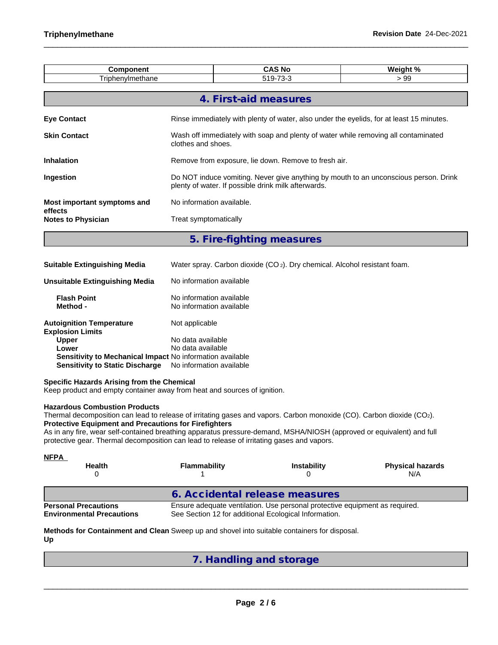| <b>Component</b><br>Triphenylmethane                                                                                                                                                                                                                                                                                                                                                                                                                 |                                                                                          | <b>CAS No</b><br>519-73-3                                                                                |                  | Weight %<br>> 99                                                                      |  |  |  |  |
|------------------------------------------------------------------------------------------------------------------------------------------------------------------------------------------------------------------------------------------------------------------------------------------------------------------------------------------------------------------------------------------------------------------------------------------------------|------------------------------------------------------------------------------------------|----------------------------------------------------------------------------------------------------------|------------------|---------------------------------------------------------------------------------------|--|--|--|--|
|                                                                                                                                                                                                                                                                                                                                                                                                                                                      |                                                                                          |                                                                                                          |                  |                                                                                       |  |  |  |  |
|                                                                                                                                                                                                                                                                                                                                                                                                                                                      |                                                                                          | 4. First-aid measures                                                                                    |                  |                                                                                       |  |  |  |  |
| <b>Eye Contact</b>                                                                                                                                                                                                                                                                                                                                                                                                                                   | Rinse immediately with plenty of water, also under the eyelids, for at least 15 minutes. |                                                                                                          |                  |                                                                                       |  |  |  |  |
| <b>Skin Contact</b>                                                                                                                                                                                                                                                                                                                                                                                                                                  |                                                                                          | Wash off immediately with soap and plenty of water while removing all contaminated<br>clothes and shoes. |                  |                                                                                       |  |  |  |  |
| <b>Inhalation</b>                                                                                                                                                                                                                                                                                                                                                                                                                                    | Remove from exposure, lie down. Remove to fresh air.                                     |                                                                                                          |                  |                                                                                       |  |  |  |  |
| Ingestion                                                                                                                                                                                                                                                                                                                                                                                                                                            |                                                                                          | plenty of water. If possible drink milk afterwards.                                                      |                  | Do NOT induce vomiting. Never give anything by mouth to an unconscious person. Drink  |  |  |  |  |
| Most important symptoms and<br>effects                                                                                                                                                                                                                                                                                                                                                                                                               | No information available.                                                                |                                                                                                          |                  |                                                                                       |  |  |  |  |
| <b>Notes to Physician</b>                                                                                                                                                                                                                                                                                                                                                                                                                            | Treat symptomatically                                                                    |                                                                                                          |                  |                                                                                       |  |  |  |  |
|                                                                                                                                                                                                                                                                                                                                                                                                                                                      |                                                                                          | 5. Fire-fighting measures                                                                                |                  |                                                                                       |  |  |  |  |
| <b>Suitable Extinguishing Media</b>                                                                                                                                                                                                                                                                                                                                                                                                                  |                                                                                          |                                                                                                          |                  | Water spray. Carbon dioxide (CO <sub>2</sub> ). Dry chemical. Alcohol resistant foam. |  |  |  |  |
| <b>Unsuitable Extinguishing Media</b>                                                                                                                                                                                                                                                                                                                                                                                                                | No information available                                                                 |                                                                                                          |                  |                                                                                       |  |  |  |  |
| <b>Flash Point</b><br>Method -                                                                                                                                                                                                                                                                                                                                                                                                                       | No information available<br>No information available                                     |                                                                                                          |                  |                                                                                       |  |  |  |  |
| <b>Autoignition Temperature</b><br><b>Explosion Limits</b>                                                                                                                                                                                                                                                                                                                                                                                           | Not applicable                                                                           |                                                                                                          |                  |                                                                                       |  |  |  |  |
| <b>Upper</b>                                                                                                                                                                                                                                                                                                                                                                                                                                         | No data available                                                                        |                                                                                                          |                  |                                                                                       |  |  |  |  |
| Lower<br>Sensitivity to Mechanical Impact No information available<br><b>Sensitivity to Static Discharge</b>                                                                                                                                                                                                                                                                                                                                         | No data available<br>No information available                                            |                                                                                                          |                  |                                                                                       |  |  |  |  |
| Specific Hazards Arising from the Chemical<br>Keep product and empty container away from heat and sources of ignition.                                                                                                                                                                                                                                                                                                                               |                                                                                          |                                                                                                          |                  |                                                                                       |  |  |  |  |
| <b>Hazardous Combustion Products</b><br>Thermal decomposition can lead to release of irritating gases and vapors. Carbon monoxide (CO). Carbon dioxide (CO2).<br><b>Protective Equipment and Precautions for Firefighters</b><br>As in any fire, wear self-contained breathing apparatus pressure-demand, MSHA/NIOSH (approved or equivalent) and full<br>protective gear. Thermal decomposition can lead to release of irritating gases and vapors. |                                                                                          |                                                                                                          |                  |                                                                                       |  |  |  |  |
| <b>NFPA</b><br><b>Health</b><br>0                                                                                                                                                                                                                                                                                                                                                                                                                    | <b>Flammability</b>                                                                      |                                                                                                          | Instability<br>0 | <b>Physical hazards</b><br>N/A                                                        |  |  |  |  |
|                                                                                                                                                                                                                                                                                                                                                                                                                                                      |                                                                                          |                                                                                                          |                  |                                                                                       |  |  |  |  |
|                                                                                                                                                                                                                                                                                                                                                                                                                                                      |                                                                                          | 6. Accidental release measures                                                                           |                  |                                                                                       |  |  |  |  |
| <b>Personal Precautions</b><br><b>Environmental Precautions</b>                                                                                                                                                                                                                                                                                                                                                                                      |                                                                                          | See Section 12 for additional Ecological Information.                                                    |                  | Ensure adequate ventilation. Use personal protective equipment as required.           |  |  |  |  |
| Methods for Containment and Clean Sweep up and shovel into suitable containers for disposal.<br>Up                                                                                                                                                                                                                                                                                                                                                   |                                                                                          |                                                                                                          |                  |                                                                                       |  |  |  |  |

**7. Handling and storage**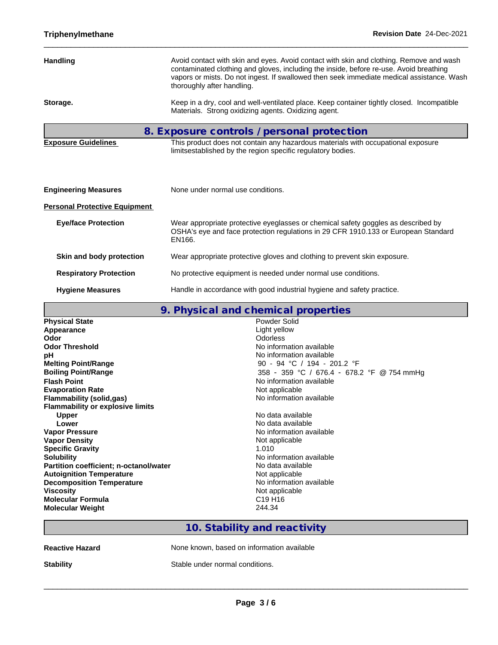|                                      | contaminated clothing and gloves, including the inside, before re-use. Avoid breathing<br>vapors or mists. Do not ingest. If swallowed then seek immediate medical assistance. Wash<br>thoroughly after handling. |
|--------------------------------------|-------------------------------------------------------------------------------------------------------------------------------------------------------------------------------------------------------------------|
| Storage.                             | Keep in a dry, cool and well-ventilated place. Keep container tightly closed. Incompatible<br>Materials. Strong oxidizing agents. Oxidizing agent.                                                                |
|                                      | 8. Exposure controls / personal protection                                                                                                                                                                        |
| <b>Exposure Guidelines</b>           | This product does not contain any hazardous materials with occupational exposure<br>limitsestablished by the region specific regulatory bodies.                                                                   |
|                                      |                                                                                                                                                                                                                   |
| <b>Engineering Measures</b>          | None under normal use conditions.                                                                                                                                                                                 |
| <b>Personal Protective Equipment</b> |                                                                                                                                                                                                                   |
| <b>Eye/face Protection</b>           | Wear appropriate protective eyeglasses or chemical safety goggles as described by<br>OSHA's eye and face protection regulations in 29 CFR 1910.133 or European Standard<br>EN166.                                 |
| Skin and body protection             | Wear appropriate protective gloves and clothing to prevent skin exposure.                                                                                                                                         |
| <b>Respiratory Protection</b>        | No protective equipment is needed under normal use conditions.                                                                                                                                                    |
| <b>Hygiene Measures</b>              | Handle in accordance with good industrial hygiene and safety practice.                                                                                                                                            |

|                                         | 9. Physical and chemical properties        |
|-----------------------------------------|--------------------------------------------|
| <b>Physical State</b>                   | Powder Solid                               |
| Appearance                              | Light yellow                               |
| Odor                                    | <b>Odorless</b>                            |
| <b>Odor Threshold</b>                   | No information available                   |
| pН                                      | No information available                   |
| <b>Melting Point/Range</b>              | 90 - 94 °C / 194 - 201.2 °F                |
| <b>Boiling Point/Range</b>              | 358 - 359 °C / 676.4 - 678.2 °F @ 754 mmHg |
| <b>Flash Point</b>                      | No information available                   |
| <b>Evaporation Rate</b>                 | Not applicable                             |
| <b>Flammability (solid,gas)</b>         | No information available                   |
| <b>Flammability or explosive limits</b> |                                            |
| <b>Upper</b>                            | No data available                          |
| Lower                                   | No data available                          |
| <b>Vapor Pressure</b>                   | No information available                   |
| <b>Vapor Density</b>                    | Not applicable                             |
| <b>Specific Gravity</b>                 | 1.010                                      |
| <b>Solubility</b>                       | No information available                   |
| Partition coefficient; n-octanol/water  | No data available                          |
| <b>Autoignition Temperature</b>         | Not applicable                             |
| <b>Decomposition Temperature</b>        | No information available                   |
| <b>Viscosity</b>                        | Not applicable                             |
| <b>Molecular Formula</b>                | C <sub>19</sub> H <sub>16</sub>            |
| <b>Molecular Weight</b>                 | 244.34                                     |
|                                         |                                            |

## **10. Stability and reactivity**

| <b>Reactive Hazard</b> | None known, based on information available |
|------------------------|--------------------------------------------|
| <b>Stability</b>       | Stable under normal conditions.            |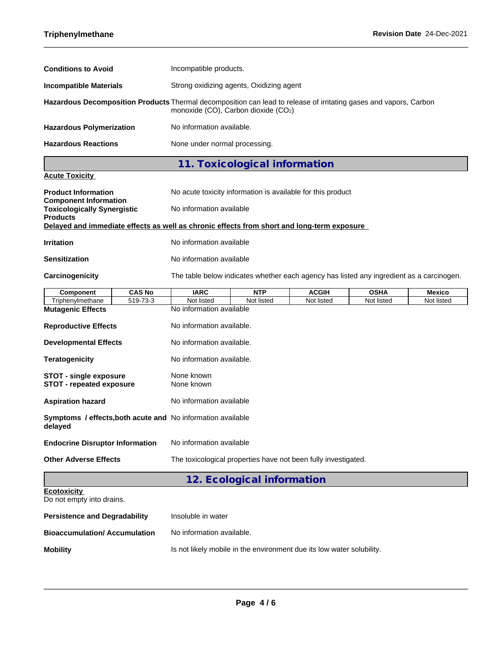| <b>Conditions to Avoid</b>      | Incompatible products.                                                                                                                                        |
|---------------------------------|---------------------------------------------------------------------------------------------------------------------------------------------------------------|
| <b>Incompatible Materials</b>   | Strong oxidizing agents, Oxidizing agent                                                                                                                      |
|                                 | Hazardous Decomposition Products Thermal decomposition can lead to release of irritating gases and vapors, Carbon<br>monoxide $(CO)$ , Carbon dioxide $(CO2)$ |
| <b>Hazardous Polymerization</b> | No information available.                                                                                                                                     |
| <b>Hazardous Reactions</b>      | None under normal processing.                                                                                                                                 |
|                                 | 11. Toxicological information                                                                                                                                 |

## **Acute Toxicity**

| <b>Product Information</b><br><b>Component Information</b> | No acute toxicity information is available for this product                                                            |
|------------------------------------------------------------|------------------------------------------------------------------------------------------------------------------------|
| <b>Toxicologically Synergistic</b><br><b>Products</b>      | No information available<br>Delayed and immediate effects as well as chronic effects from short and long-term exposure |
| <b>Irritation</b>                                          | No information available                                                                                               |

## **Sensitization** No information available

**Carcinogenicity** The table below indicateswhether each agency has listed any ingredient as a carcinogen.

| Component                                                              | <b>CAS No</b> | <b>IARC</b>                                                    | <b>NTP</b>                 | <b>ACGIH</b> | <b>OSHA</b> | <b>Mexico</b> |
|------------------------------------------------------------------------|---------------|----------------------------------------------------------------|----------------------------|--------------|-------------|---------------|
| Triphenvlmethane                                                       | 519-73-3      | Not listed                                                     | Not listed                 | Not listed   | Not listed  | Not listed    |
| <b>Mutagenic Effects</b>                                               |               | No information available                                       |                            |              |             |               |
| <b>Reproductive Effects</b>                                            |               | No information available.                                      |                            |              |             |               |
| <b>Developmental Effects</b>                                           |               | No information available.                                      |                            |              |             |               |
| <b>Teratogenicity</b>                                                  |               | No information available.                                      |                            |              |             |               |
| <b>STOT - single exposure</b><br><b>STOT - repeated exposure</b>       |               | None known<br>None known                                       |                            |              |             |               |
| <b>Aspiration hazard</b>                                               |               | No information available                                       |                            |              |             |               |
| Symptoms / effects, both acute and No information available<br>delayed |               |                                                                |                            |              |             |               |
| <b>Endocrine Disruptor Information</b>                                 |               | No information available                                       |                            |              |             |               |
| <b>Other Adverse Effects</b>                                           |               | The toxicological properties have not been fully investigated. |                            |              |             |               |
|                                                                        |               |                                                                | 12. Ecological information |              |             |               |
| <b>Ecotoxicity</b><br>Do not empty into drains.                        |               |                                                                |                            |              |             |               |

**Persistence and Degradability** Insoluble in water

| <b>Bioaccumulation/ Accumulation</b> | No information available.                                             |
|--------------------------------------|-----------------------------------------------------------------------|
| <b>Mobility</b>                      | Is not likely mobile in the environment due its low water solubility. |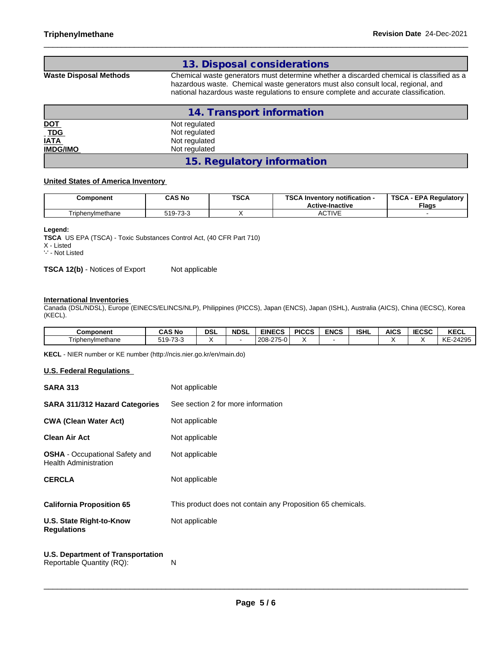|                        | 13. Disposal considerations                                                                                                                                                                                                                                           |
|------------------------|-----------------------------------------------------------------------------------------------------------------------------------------------------------------------------------------------------------------------------------------------------------------------|
| Waste Disposal Methods | Chemical waste generators must determine whether a discarded chemical is classified as a<br>hazardous waste. Chemical waste generators must also consult local, regional, and<br>national hazardous waste regulations to ensure complete and accurate classification. |

|                 | 14. Transport information  |  |
|-----------------|----------------------------|--|
| <u>DOT</u>      | Not regulated              |  |
|                 | Not regulated              |  |
| TDG<br>IATA     | Not regulated              |  |
| <b>IMDG/IMO</b> | Not regulated              |  |
|                 | 15. Regulatory information |  |

#### **United States of America Inventory**

| Component        | <b>CAS No</b><br>. | <b>TSCA</b> | TOO AL<br>Inventory notification -<br>تتعد<br><b>Active-Inactive</b> | <b>TSCA</b><br><b>EPA Regulatory</b><br><b>Flags</b> |
|------------------|--------------------|-------------|----------------------------------------------------------------------|------------------------------------------------------|
| Triphenylmethane | $-73-3$<br>74 م    |             | $\Gamma$ TIVE<br>AUITE                                               |                                                      |

#### **Legend:**

**TSCA** US EPA (TSCA) - Toxic Substances Control Act, (40 CFR Part 710)

X - Listed

'-' - Not Listed

**TSCA 12(b)** - Notices of Export Not applicable

#### **International Inventories**

Canada (DSL/NDSL), Europe (EINECS/ELINCS/NLP), Philippines (PICCS), Japan (ENCS), Japan (ISHL), Australia (AICS), China (IECSC), Korea (KECL).

| <b>Component</b> | <b>CAS No</b>                  | DSI | <b>NDSL</b> | <b>EINECS</b>                  | <b>PICCS</b> | <b>ENCS</b> | <b>ISHL</b> | <b>AICS</b> | IFAAA<br>IECSC | <b>KECL</b>                  |
|------------------|--------------------------------|-----|-------------|--------------------------------|--------------|-------------|-------------|-------------|----------------|------------------------------|
| Triphenvlmethane | $\sim$ $\sim$<br>510.<br>ت-دت/ |     |             | $275 - 0.$<br>ີາ∩ຂ⊥<br>1200-27 |              |             |             |             |                | $-24295$<br><b>KE</b><br>-n- |

**KECL** - NIER number or KE number (http://ncis.nier.go.kr/en/main.do)

### **U.S. Federal Regulations**

| <b>SARA 313</b>                                                       | Not applicable                                              |
|-----------------------------------------------------------------------|-------------------------------------------------------------|
| <b>SARA 311/312 Hazard Categories</b>                                 | See section 2 for more information                          |
| <b>CWA (Clean Water Act)</b>                                          | Not applicable                                              |
| <b>Clean Air Act</b>                                                  | Not applicable                                              |
| <b>OSHA</b> - Occupational Safety and<br><b>Health Administration</b> | Not applicable                                              |
| <b>CERCLA</b>                                                         | Not applicable                                              |
| <b>California Proposition 65</b>                                      | This product does not contain any Proposition 65 chemicals. |
| U.S. State Right-to-Know<br><b>Regulations</b>                        | Not applicable                                              |
| <b>U.S. Department of Transportation</b>                              |                                                             |